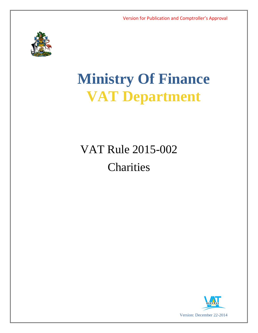

# **Ministry Of Finance VAT Department**

## VAT Rule 2015-002 **Charities**

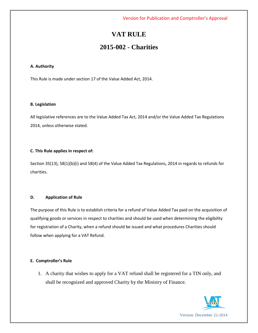## **VAT RULE**

### **2015-002 - Charities**

#### **A. Authority**

This Rule is made under section 17 of the Value Added Act, 2014.

#### **B. Legislation**

All legislative references are to the Value Added Tax Act, 2014 and/or the Value Added Tax Regulations 2014, unless otherwise stated.

#### **C. This Rule applies in respect of:**

Section 35(13), 58(1)(b)(i) and 58(4) of the Value Added Tax Regulations, 2014 in regards to refunds for charities.

#### **D. Application of Rule**

The purpose of this Rule is to establish criteria for a refund of Value Added Tax paid on the acquisition of qualifying goods or services in respect to charities and should be used when determining the eligibility for registration of a Charity, when a refund should be issued and what procedures Charities should follow when applying for a VAT Refund.

#### **E. Comptroller's Rule**

1. A charity that wishes to apply for a VAT refund shall be registered for a TIN only, and shall be recognized and approved Charity by the Ministry of Finance.